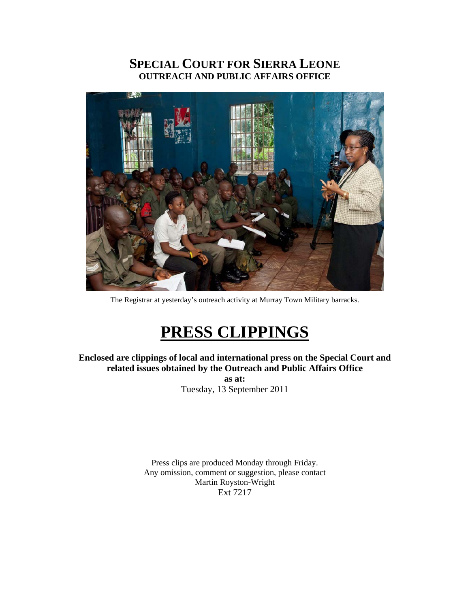# **SPECIAL COURT FOR SIERRA LEONE OUTREACH AND PUBLIC AFFAIRS OFFICE**



The Registrar at yesterday's outreach activity at Murray Town Military barracks.

# **PRESS CLIPPINGS**

**Enclosed are clippings of local and international press on the Special Court and related issues obtained by the Outreach and Public Affairs Office as at:**  Tuesday, 13 September 2011

> Press clips are produced Monday through Friday. Any omission, comment or suggestion, please contact Martin Royston-Wright Ext 7217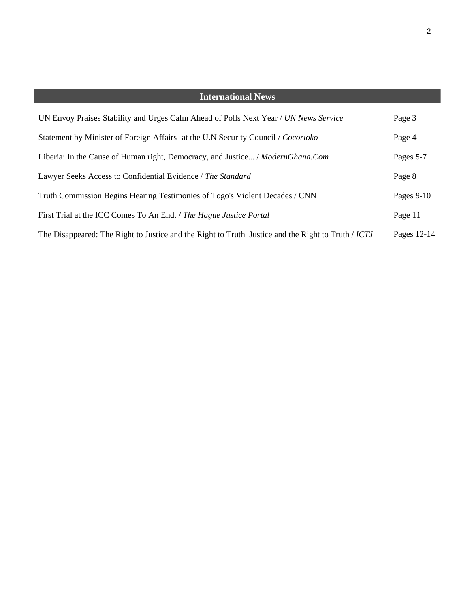| <b>International News</b>                                                                          |             |
|----------------------------------------------------------------------------------------------------|-------------|
| UN Envoy Praises Stability and Urges Calm Ahead of Polls Next Year / UN News Service               | Page 3      |
| Statement by Minister of Foreign Affairs -at the U.N Security Council / Cocorioko                  | Page 4      |
| Liberia: In the Cause of Human right, Democracy, and Justice / ModernGhana.Com                     | Pages 5-7   |
| Lawyer Seeks Access to Confidential Evidence / The Standard                                        | Page 8      |
| Truth Commission Begins Hearing Testimonies of Togo's Violent Decades / CNN                        | Pages 9-10  |
| First Trial at the ICC Comes To An End. / The Hague Justice Portal                                 | Page 11     |
| The Disappeared: The Right to Justice and the Right to Truth Justice and the Right to Truth / ICTJ | Pages 12-14 |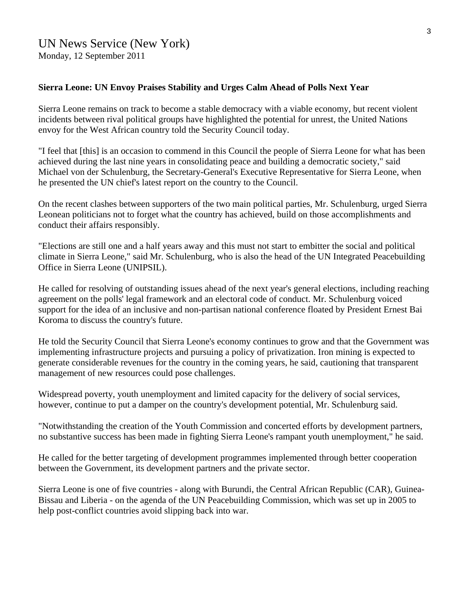## **Sierra Leone: UN Envoy Praises Stability and Urges Calm Ahead of Polls Next Year**

Sierra Leone remains on track to become a stable democracy with a viable economy, but recent violent incidents between rival political groups have highlighted the potential for unrest, the United Nations envoy for the West African country told the Security Council today.

"I feel that [this] is an occasion to commend in this Council the people of Sierra Leone for what has been achieved during the last nine years in consolidating peace and building a democratic society," said Michael von der Schulenburg, the Secretary-General's Executive Representative for Sierra Leone, when he presented the UN chief's latest report on the country to the Council.

On the recent clashes between supporters of the two main political parties, Mr. Schulenburg, urged Sierra Leonean politicians not to forget what the country has achieved, build on those accomplishments and conduct their affairs responsibly.

"Elections are still one and a half years away and this must not start to embitter the social and political climate in Sierra Leone," said Mr. Schulenburg, who is also the head of the UN Integrated Peacebuilding Office in Sierra Leone (UNIPSIL).

He called for resolving of outstanding issues ahead of the next year's general elections, including reaching agreement on the polls' legal framework and an electoral code of conduct. Mr. Schulenburg voiced support for the idea of an inclusive and non-partisan national conference floated by President Ernest Bai Koroma to discuss the country's future.

He told the Security Council that Sierra Leone's economy continues to grow and that the Government was implementing infrastructure projects and pursuing a policy of privatization. Iron mining is expected to generate considerable revenues for the country in the coming years, he said, cautioning that transparent management of new resources could pose challenges.

Widespread poverty, youth unemployment and limited capacity for the delivery of social services, however, continue to put a damper on the country's development potential, Mr. Schulenburg said.

"Notwithstanding the creation of the Youth Commission and concerted efforts by development partners, no substantive success has been made in fighting Sierra Leone's rampant youth unemployment," he said.

He called for the better targeting of development programmes implemented through better cooperation between the Government, its development partners and the private sector.

Sierra Leone is one of five countries - along with Burundi, the Central African Republic (CAR), Guinea-Bissau and Liberia - on the agenda of the UN Peacebuilding Commission, which was set up in 2005 to help post-conflict countries avoid slipping back into war.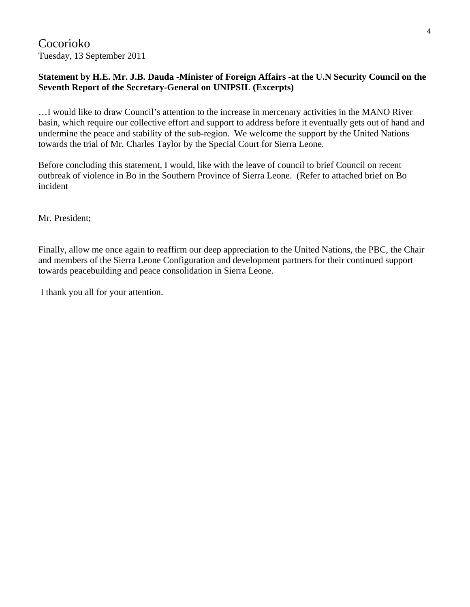Cocorioko Tuesday, 13 September 2011

# **Statement by H.E. Mr. J.B. Dauda -Minister of Foreign Affairs -at the U.N Security Council on the Seventh Report of the Secretary-General on UNIPSIL (Excerpts)**

…I would like to draw Council's attention to the increase in mercenary activities in the MANO River basin, which require our collective effort and support to address before it eventually gets out of hand and undermine the peace and stability of the sub-region. We welcome the support by the United Nations towards the trial of Mr. Charles Taylor by the Special Court for Sierra Leone.

Before concluding this statement, I would, like with the leave of council to brief Council on recent outbreak of violence in Bo in the Southern Province of Sierra Leone. (Refer to attached brief on Bo incident

Mr. President;

Finally, allow me once again to reaffirm our deep appreciation to the United Nations, the PBC, the Chair and members of the Sierra Leone Configuration and development partners for their continued support towards peacebuilding and peace consolidation in Sierra Leone.

I thank you all for your attention.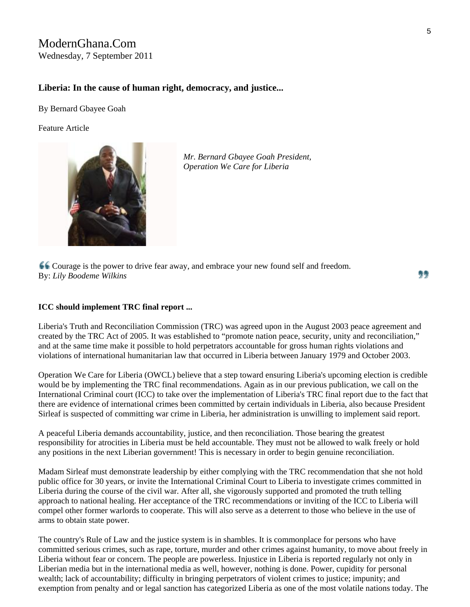# ModernGhana.Com Wednesday, 7 September 2011

## **Liberia: In the cause of human right, democracy, and justice...**

By [Bernard Gbayee Goah](http://www.modernghana.com/columnist/BernardGbayeeGoah)

Feature Article



*Mr. Bernard Gbayee Goah President, Operation We Care for Liberia* 

Courage is the power to drive fear away, and embrace your new found self and freedom. By: *Lily Boodeme Wilkins*

99

#### **ICC should implement TRC final report ...**

Liberia's Truth and Reconciliation Commission (TRC) was agreed upon in the August 2003 peace agreement and created by the TRC Act of 2005. It was established to "promote nation peace, security, unity and reconciliation," and at the same time make it possible to hold perpetrators accountable for gross human rights violations and violations of international humanitarian law that occurred in Liberia between January 1979 and October 2003.

Operation We Care for Liberia (OWCL) believe that a step toward ensuring Liberia's upcoming election is credible would be by implementing the TRC final recommendations. Again as in our previous publication, we call on the International Criminal court (ICC) to take over the implementation of Liberia's TRC final report due to the fact that there are evidence of international crimes been committed by certain individuals in Liberia, also because President Sirleaf is suspected of committing war crime in Liberia, her administration is unwilling to implement said report.

A peaceful Liberia demands accountability, justice, and then reconciliation. Those bearing the greatest responsibility for atrocities in Liberia must be held accountable. They must not be allowed to walk freely or hold any positions in the next Liberian government! This is necessary in order to begin genuine reconciliation.

Madam Sirleaf must demonstrate leadership by either complying with the TRC recommendation that she not hold public office for 30 years, or invite the International Criminal Court to Liberia to investigate crimes committed in Liberia during the course of the civil war. After all, she vigorously supported and promoted the truth telling approach to national healing. Her acceptance of the TRC recommendations or inviting of the ICC to Liberia will compel other former warlords to cooperate. This will also serve as a deterrent to those who believe in the use of arms to obtain state power.

The country's Rule of Law and the justice system is in shambles. It is commonplace for persons who have committed serious crimes, such as rape, torture, murder and other crimes against humanity, to move about freely in Liberia without fear or concern. The people are powerless. Injustice in Liberia is reported regularly not only in Liberian media but in the international media as well, however, nothing is done. Power, cupidity for personal wealth; lack of accountability; difficulty in bringing perpetrators of violent crimes to justice; impunity; and exemption from penalty and or legal sanction has categorized Liberia as one of the most volatile nations today. The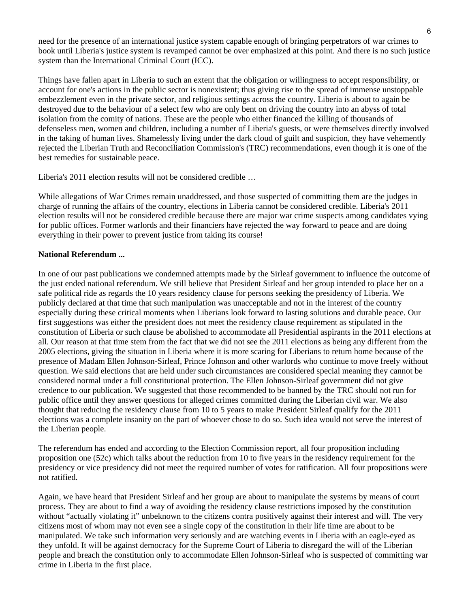need for the presence of an international justice system capable enough of bringing perpetrators of war crimes to book until Liberia's justice system is revamped cannot be over emphasized at this point. And there is no such justice system than the International Criminal Court (ICC).

Things have fallen apart in Liberia to such an extent that the obligation or willingness to accept responsibility, or account for one's actions in the public sector is nonexistent; thus giving rise to the spread of immense unstoppable embezzlement even in the private sector, and religious settings across the country. Liberia is about to again be destroyed due to the behaviour of a select few who are only bent on driving the country into an abyss of total isolation from the comity of nations. These are the people who either financed the killing of thousands of defenseless men, women and children, including a number of Liberia's guests, or were themselves directly involved in the taking of human lives. Shamelessly living under the dark cloud of guilt and suspicion, they have vehemently rejected the Liberian Truth and Reconciliation Commission's (TRC) recommendations, even though it is one of the best remedies for sustainable peace.

Liberia's 2011 election results will not be considered credible …

While allegations of War Crimes remain unaddressed, and those suspected of committing them are the judges in charge of running the affairs of the country, elections in Liberia cannot be considered credible. Liberia's 2011 election results will not be considered credible because there are major war crime suspects among candidates vying for public offices. Former warlords and their financiers have rejected the way forward to peace and are doing everything in their power to prevent justice from taking its course!

### **National Referendum ...**

In one of our past publications we condemned attempts made by the Sirleaf government to influence the outcome of the just ended national referendum. We still believe that President Sirleaf and her group intended to place her on a safe political ride as regards the 10 years residency clause for persons seeking the presidency of Liberia. We publicly declared at that time that such manipulation was unacceptable and not in the interest of the country especially during these critical moments when Liberians look forward to lasting solutions and durable peace. Our first suggestions was either the president does not meet the residency clause requirement as stipulated in the constitution of Liberia or such clause be abolished to accommodate all Presidential aspirants in the 2011 elections at all. Our reason at that time stem from the fact that we did not see the 2011 elections as being any different from the 2005 elections, giving the situation in Liberia where it is more scaring for Liberians to return home because of the presence of Madam Ellen Johnson-Sirleaf, Prince Johnson and other warlords who continue to move freely without question. We said elections that are held under such circumstances are considered special meaning they cannot be considered normal under a full constitutional protection. The Ellen Johnson-Sirleaf government did not give credence to our publication. We suggested that those recommended to be banned by the TRC should not run for public office until they answer questions for alleged crimes committed during the Liberian civil war. We also thought that reducing the residency clause from 10 to 5 years to make President Sirleaf qualify for the 2011 elections was a complete insanity on the part of whoever chose to do so. Such idea would not serve the interest of the Liberian people.

The referendum has ended and according to the Election Commission report, all four proposition including proposition one (52c) which talks about the reduction from 10 to five years in the residency requirement for the presidency or vice presidency did not meet the required number of votes for ratification. All four propositions were not ratified.

Again, we have heard that President Sirleaf and her group are about to manipulate the systems by means of court process. They are about to find a way of avoiding the residency clause restrictions imposed by the constitution without "actually violating it" unbeknown to the citizens contra positively against their interest and will. The very citizens most of whom may not even see a single copy of the constitution in their life time are about to be manipulated. We take such information very seriously and are watching events in Liberia with an eagle-eyed as they unfold. It will be against democracy for the Supreme Court of Liberia to disregard the will of the Liberian people and breach the constitution only to accommodate Ellen Johnson-Sirleaf who is suspected of committing war crime in Liberia in the first place.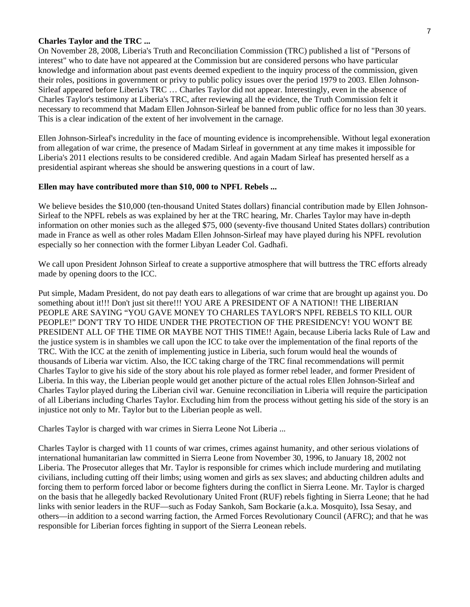#### **Charles Taylor and the TRC ...**

On November 28, 2008, Liberia's Truth and Reconciliation Commission (TRC) published a list of "Persons of interest" who to date have not appeared at the Commission but are considered persons who have particular knowledge and information about past events deemed expedient to the inquiry process of the commission, given their roles, positions in government or privy to public policy issues over the period 1979 to 2003. Ellen Johnson-Sirleaf appeared before Liberia's TRC … Charles Taylor did not appear. Interestingly, even in the absence of Charles Taylor's testimony at Liberia's TRC, after reviewing all the evidence, the Truth Commission felt it necessary to recommend that Madam Ellen Johnson-Sirleaf be banned from public office for no less than 30 years. This is a clear indication of the extent of her involvement in the carnage.

Ellen Johnson-Sirleaf's incredulity in the face of mounting evidence is incomprehensible. Without legal exoneration from allegation of war crime, the presence of Madam Sirleaf in government at any time makes it impossible for Liberia's 2011 elections results to be considered credible. And again Madam Sirleaf has presented herself as a presidential aspirant whereas she should be answering questions in a court of law.

#### **Ellen may have contributed more than \$10, 000 to NPFL Rebels ...**

We believe besides the \$10,000 (ten-thousand United States dollars) financial contribution made by Ellen Johnson-Sirleaf to the NPFL rebels as was explained by her at the TRC hearing, Mr. Charles Taylor may have in-depth information on other monies such as the alleged \$75, 000 (seventy-five thousand United States dollars) contribution made in France as well as other roles Madam Ellen Johnson-Sirleaf may have played during his NPFL revolution especially so her connection with the former Libyan Leader Col. Gadhafi.

We call upon President Johnson Sirleaf to create a supportive atmosphere that will buttress the TRC efforts already made by opening doors to the ICC.

Put simple, Madam President, do not pay death ears to allegations of war crime that are brought up against you. Do something about it!!! Don't just sit there!!! YOU ARE A PRESIDENT OF A NATION!! THE LIBERIAN PEOPLE ARE SAYING "YOU GAVE MONEY TO CHARLES TAYLOR'S NPFL REBELS TO KILL OUR PEOPLE!" DON'T TRY TO HIDE UNDER THE PROTECTION OF THE PRESIDENCY! YOU WON'T BE PRESIDENT ALL OF THE TIME OR MAYBE NOT THIS TIME!! Again, because Liberia lacks Rule of Law and the justice system is in shambles we call upon the ICC to take over the implementation of the final reports of the TRC. With the ICC at the zenith of implementing justice in Liberia, such forum would heal the wounds of thousands of Liberia war victim. Also, the ICC taking charge of the TRC final recommendations will permit Charles Taylor to give his side of the story about his role played as former rebel leader, and former President of Liberia. In this way, the Liberian people would get another picture of the actual roles Ellen Johnson-Sirleaf and Charles Taylor played during the Liberian civil war. Genuine reconciliation in Liberia will require the participation of all Liberians including Charles Taylor. Excluding him from the process without getting his side of the story is an injustice not only to Mr. Taylor but to the Liberian people as well.

Charles Taylor is charged with war crimes in Sierra Leone Not Liberia ...

Charles Taylor is charged with 11 counts of war crimes, crimes against humanity, and other serious violations of international humanitarian law committed in Sierra Leone from November 30, 1996, to January 18, 2002 not Liberia. The Prosecutor alleges that Mr. Taylor is responsible for crimes which include murdering and mutilating civilians, including cutting off their limbs; using women and girls as sex slaves; and abducting children adults and forcing them to perform forced labor or become fighters during the conflict in Sierra Leone. Mr. Taylor is charged on the basis that he allegedly backed Revolutionary United Front (RUF) rebels fighting in Sierra Leone; that he had links with senior leaders in the RUF—such as Foday Sankoh, Sam Bockarie (a.k.a. Mosquito), Issa Sesay, and others—in addition to a second warring faction, the Armed Forces Revolutionary Council (AFRC); and that he was responsible for Liberian forces fighting in support of the Sierra Leonean rebels.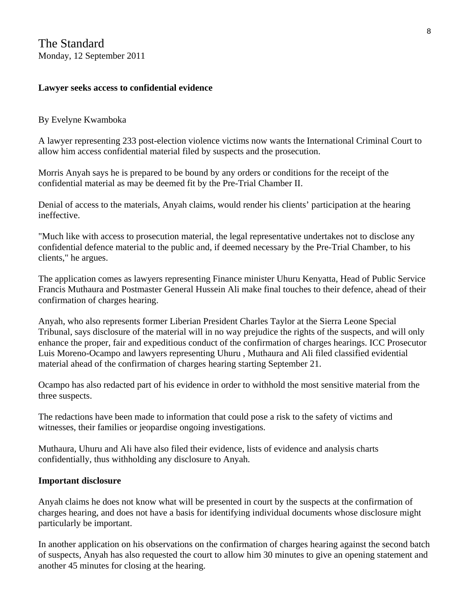# **Lawyer seeks access to confidential evidence**

# By Evelyne Kwamboka

A lawyer representing 233 post-election violence victims now wants the International Criminal Court to allow him access confidential material filed by suspects and the prosecution.

Morris Anyah says he is prepared to be bound by any orders or conditions for the receipt of the confidential material as may be deemed fit by the Pre-Trial Chamber II.

Denial of access to the materials, Anyah claims, would render his clients' participation at the hearing ineffective.

"Much like with access to prosecution material, the legal representative undertakes not to disclose any confidential defence material to the public and, if deemed necessary by the Pre-Trial Chamber, to his clients," he argues.

The application comes as lawyers representing Finance minister Uhuru Kenyatta, Head of Public Service Francis Muthaura and Postmaster General Hussein Ali make final touches to their defence, ahead of their confirmation of charges hearing.

Anyah, who also represents former Liberian President Charles Taylor at the Sierra Leone Special Tribunal, says disclosure of the material will in no way prejudice the rights of the suspects, and will only enhance the proper, fair and expeditious conduct of the confirmation of charges hearings. ICC Prosecutor Luis Moreno-Ocampo and lawyers representing Uhuru , Muthaura and Ali filed classified evidential material ahead of the confirmation of charges hearing starting September 21.

Ocampo has also redacted part of his evidence in order to withhold the most sensitive material from the three suspects.

The redactions have been made to information that could pose a risk to the safety of victims and witnesses, their families or jeopardise ongoing investigations.

Muthaura, Uhuru and Ali have also filed their evidence, lists of evidence and analysis charts confidentially, thus withholding any disclosure to Anyah.

# **Important disclosure**

Anyah claims he does not know what will be presented in court by the suspects at the confirmation of charges hearing, and does not have a basis for identifying individual documents whose disclosure might particularly be important.

In another application on his observations on the confirmation of charges hearing against the second batch of suspects, Anyah has also requested the court to allow him 30 minutes to give an opening statement and another 45 minutes for closing at the hearing.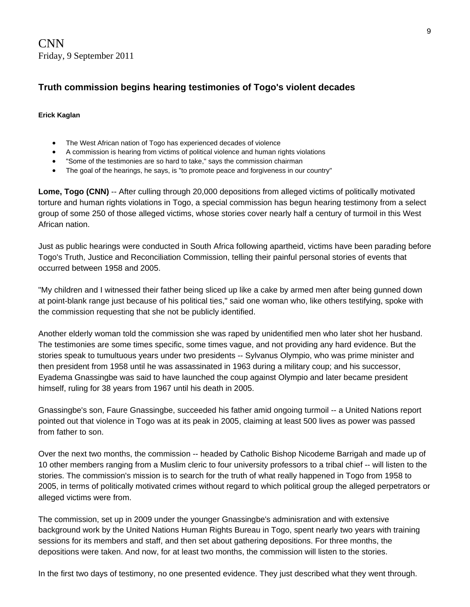CNN Friday, 9 September 2011

# **Truth commission begins hearing testimonies of Togo's violent decades**

#### **Erick Kaglan**

- The West African nation of Togo has experienced decades of violence
- A commission is hearing from victims of political violence and human rights violations
- "Some of the testimonies are so hard to take," says the commission chairman
- The goal of the hearings, he says, is "to promote peace and forgiveness in our country"

**Lome, Togo (CNN)** -- After culling through 20,000 depositions from alleged victims of politically motivated torture and human rights violations in Togo, a special commission has begun hearing testimony from a select group of some 250 of those alleged victims, whose stories cover nearly half a century of turmoil in this West African nation.

Just as public hearings were conducted in South Africa following apartheid, victims have been parading before Togo's Truth, Justice and Reconciliation Commission, telling their painful personal stories of events that occurred between 1958 and 2005.

"My children and I witnessed their father being sliced up like a cake by armed men after being gunned down at point-blank range just because of his political ties," said one woman who, like others testifying, spoke with the commission requesting that she not be publicly identified.

Another elderly woman told the commission she was raped by unidentified men who later shot her husband. The testimonies are some times specific, some times vague, and not providing any hard evidence. But the stories speak to tumultuous years under two presidents -- Sylvanus Olympio, who was prime minister and then president from 1958 until he was assassinated in 1963 during a military coup; and his successor, Eyadema Gnassingbe was said to have launched the coup against Olympio and later became president himself, ruling for 38 years from 1967 until his death in 2005.

Gnassingbe's son, Faure Gnassingbe, succeeded his father amid ongoing turmoil -- a United Nations report pointed out that violence in Togo was at its peak in 2005, claiming at least 500 lives as power was passed from father to son.

Over the next two months, the commission -- headed by Catholic Bishop Nicodeme Barrigah and made up of 10 other members ranging from a Muslim cleric to four university professors to a tribal chief -- will listen to the stories. The commission's mission is to search for the truth of what really happened in Togo from 1958 to 2005, in terms of politically motivated crimes without regard to which political group the alleged perpetrators or alleged victims were from.

The commission, set up in 2009 under the younger Gnassingbe's adminisration and with extensive background work by the United Nations Human Rights Bureau in Togo, spent nearly two years with training sessions for its members and staff, and then set about gathering depositions. For three months, the depositions were taken. And now, for at least two months, the commission will listen to the stories.

In the first two days of testimony, no one presented evidence. They just described what they went through.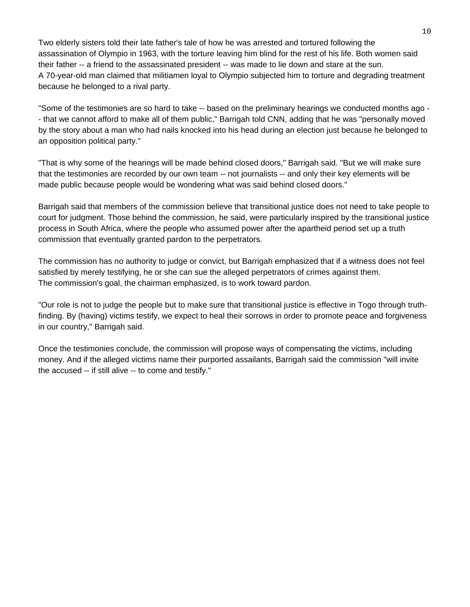Two elderly sisters told their late father's tale of how he was arrested and tortured following the assassination of Olympio in 1963, with the torture leaving him blind for the rest of his life. Both women said their father -- a friend to the assassinated president -- was made to lie down and stare at the sun. A 70-year-old man claimed that militiamen loyal to Olympio subjected him to torture and degrading treatment because he belonged to a rival party.

"Some of the testimonies are so hard to take -- based on the preliminary hearings we conducted months ago - - that we cannot afford to make all of them public," Barrigah told CNN, adding that he was "personally moved by the story about a man who had nails knocked into his head during an election just because he belonged to an opposition political party."

"That is why some of the hearings will be made behind closed doors," Barrigah said. "But we will make sure that the testimonies are recorded by our own team -- not journalists -- and only their key elements will be made public because people would be wondering what was said behind closed doors."

Barrigah said that members of the commission believe that transitional justice does not need to take people to court for judgment. Those behind the commission, he said, were particularly inspired by the transitional justice process in South Africa, where the people who assumed power after the apartheid period set up a truth commission that eventually granted pardon to the perpetrators.

The commission has no authority to judge or convict, but Barrigah emphasized that if a witness does not feel satisfied by merely testifying, he or she can sue the alleged perpetrators of crimes against them. The commission's goal, the chairman emphasized, is to work toward pardon.

"Our role is not to judge the people but to make sure that transitional justice is effective in Togo through truthfinding. By (having) victims testify, we expect to heal their sorrows in order to promote peace and forgiveness in our country," Barrigah said.

Once the testimonies conclude, the commission will propose ways of compensating the victims, including money. And if the alleged victims name their purported assailants, Barrigah said the commission "will invite the accused -- if still alive -- to come and testify."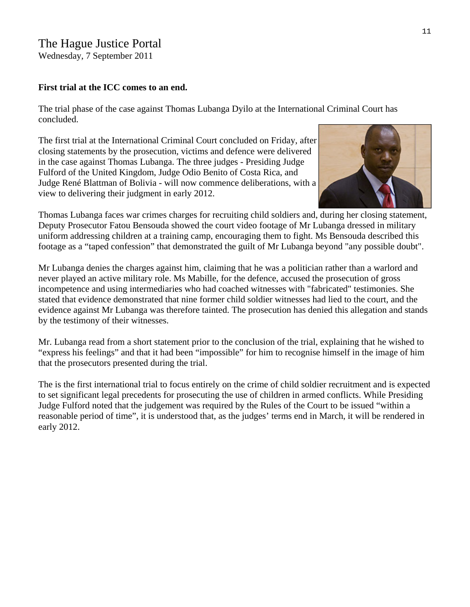# The Hague Justice Portal

Wednesday, 7 September 2011

## **First trial at the ICC comes to an end.**

The trial phase of the case against Thomas Lubanga Dyilo at the International Criminal Court has concluded.

The first trial at the International Criminal Court concluded on Friday, after closing statements by the prosecution, victims and defence were delivered in the case against [Thomas Lubanga](http://www.haguejusticeportal.net/eCache/DEF/8/156.html). The three judges - Presiding Judge Fulford of the United Kingdom, Judge Odio Benito of Costa Rica, and Judge René Blattman of Bolivia - will now commence deliberations, with a view to delivering their judgment in early 2012.



Thomas Lubanga faces war crimes charges for recruiting child soldiers and, during her closing statement, uniform addressing children at a training camp, encouraging them to fight. Ms Bensouda described this footage as a "taped confession" that demonstrated the guilt of Mr Lubanga beyond "any possible doubt". Deputy Prosecutor Fatou Bensouda showed the court video footage of Mr Lubanga dressed in military

Mr Lubanga denies the charges against him, claiming that he was a politician rather than a warlord and incompetence and using intermediaries who had coached witnesses with "fabricated" testimonies. She evidence against Mr Lubanga was therefore tainted. The prosecution has denied this allegation and stands never played an active military role. Ms Mabille, for the defence, accused the prosecution of gross stated that evidence demonstrated that nine former child soldier witnesses had lied to the court, and the by the testimony of their witnesses.

Mr. Lubanga read from a short statement prior to the conclusion of the trial, explaining that he wished to "express his feelings" and that it had been "impossible" for him to recognise himself in the image of him that the prosecutors presented during the trial.

The is the first international trial to focus entirely on the crime of child soldier recruitment and is expected reasonable period of time", it is understood that, as the judges' terms end in March, it will be rendered in to set significant legal precedents for prosecuting the use of children in armed conflicts. While Presiding Judge Fulford noted that the judgement was required by the Rules of the Court to be issued "within a early 2012.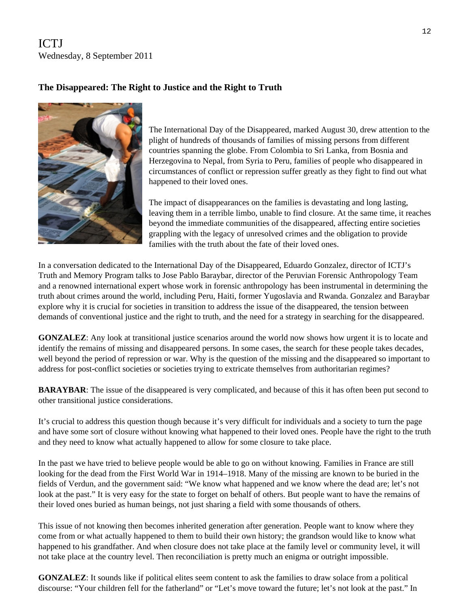ICTJ Wednesday, 8 September 2011

## The Disappeared: The Right to Justice and the Right to Truth



The International Day of the Disappeared, marked August 30, drew attention to the plight of hundreds of thousands of families of missing persons from different countries spanning the globe. From Colombia to Sri Lanka, from Bosnia and Herzegovina to Nepal, from Syria to Peru, families of people who disappeared in circumstances of conflict or repression suffer greatly as they fight to find out what happened to their loved ones.

The impact of disappearances on the families is devastating and long lasting, leaving them in a terrible limbo, unable to find closure. At the same time, it reaches beyond the immediate communities of the disappeared, affecting entire societies grappling with the legacy of unresolved crimes and the obligation to provide families with the truth about the fate of their loved ones.

In a conversation dedicated to the International Day of the Disappeared, Eduardo Gonzalez, director of ICTJ's Truth and Memory Program talks to Jose Pablo Baraybar, director of the [Peruvian Forensic Anthropology Team](http://epafperu.org/) and a renowned international expert whose work in forensic anthropology has been instrumental in determining the truth about crimes around the world, including Peru, Haiti, former Yugoslavia and Rwanda. Gonzalez and Baraybar explore why it is crucial for societies in transition to address the issue of the disappeared, the tension between demands of conventional justice and the right to truth, and the need for a strategy in searching for the disappeared.

**GONZALEZ**: Any look at transitional justice scenarios around the world now shows how urgent it is to locate and identify the remains of missing and disappeared persons. In some cases, the search for these people takes decades, well beyond the period of repression or war. Why is the question of the missing and the disappeared so important to address for post-conflict societies or societies trying to extricate themselves from authoritarian regimes?

**BARAYBAR**: The issue of the disappeared is very complicated, and because of this it has often been put second to other transitional justice considerations.

It's crucial to address this question though because it's very difficult for individuals and a society to turn the page and have some sort of closure without knowing what happened to their loved ones. People have the right to the truth and they need to know what actually happened to allow for some closure to take place.

In the past we have tried to believe people would be able to go on without knowing. Families in France are still looking for the dead from the First World War in 1914–1918. Many of the missing are known to be buried in the fields of Verdun, and the government said: "We know what happened and we know where the dead are; let's not look at the past." It is very easy for the state to forget on behalf of others. But people want to have the remains of their loved ones buried as human beings, not just sharing a field with some thousands of others.

This issue of not knowing then becomes inherited generation after generation. People want to know where they come from or what actually happened to them to build their own history; the grandson would like to know what happened to his grandfather. And when closure does not take place at the family level or community level, it will not take place at the country level. Then reconciliation is pretty much an enigma or outright impossible.

**GONZALEZ**: It sounds like if political elites seem content to ask the families to draw solace from a political discourse: "Your children fell for the fatherland" or "Let's move toward the future; let's not look at the past." In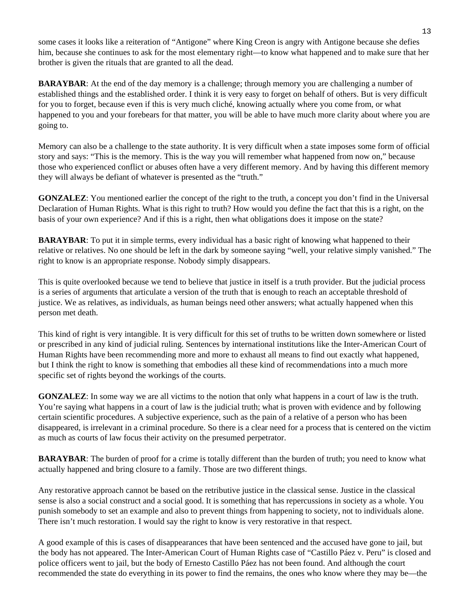some cases it looks like a reiteration of "Antigone" where King Creon is angry with Antigone because she defies him, because she continues to ask for the most elementary right—to know what happened and to make sure that her brother is given the rituals that are granted to all the dead.

**BARAYBAR:** At the end of the day memory is a challenge; through memory you are challenging a number of established things and the established order. I think it is very easy to forget on behalf of others. But is very difficult for you to forget, because even if this is very much cliché, knowing actually where you come from, or what happened to you and your forebears for that matter, you will be able to have much more clarity about where you are going to.

Memory can also be a challenge to the state authority. It is very difficult when a state imposes some form of official story and says: "This is the memory. This is the way you will remember what happened from now on," because those who experienced conflict or abuses often have a very different memory. And by having this different memory they will always be defiant of whatever is presented as the "truth."

**GONZALEZ:** You mentioned earlier the concept of the right to the truth, a concept you don't find in the Universal Declaration of Human Rights. What is this right to truth? How would you define the fact that this is a right, on the basis of your own experience? And if this is a right, then what obligations does it impose on the state?

**BARAYBAR**: To put it in simple terms, every individual has a basic right of knowing what happened to their relative or relatives. No one should be left in the dark by someone saying "well, your relative simply vanished." The right to know is an appropriate response. Nobody simply disappears.

This is quite overlooked because we tend to believe that justice in itself is a truth provider. But the judicial process is a series of arguments that articulate a version of the truth that is enough to reach an acceptable threshold of justice. We as relatives, as individuals, as human beings need other answers; what actually happened when this person met death.

This kind of right is very intangible. It is very difficult for this set of truths to be written down somewhere or listed or prescribed in any kind of judicial ruling. Sentences by international institutions like the Inter-American Court of Human Rights have been recommending more and more to exhaust all means to find out exactly what happened, but I think the right to know is something that embodies all these kind of recommendations into a much more specific set of rights beyond the workings of the courts.

**GONZALEZ:** In some way we are all victims to the notion that only what happens in a court of law is the truth. You're saying what happens in a court of law is the judicial truth; what is proven with evidence and by following certain scientific procedures. A subjective experience, such as the pain of a relative of a person who has been disappeared, is irrelevant in a criminal procedure. So there is a clear need for a process that is centered on the victim as much as courts of law focus their activity on the presumed perpetrator.

**BARAYBAR:** The burden of proof for a crime is totally different than the burden of truth; you need to know what actually happened and bring closure to a family. Those are two different things.

Any restorative approach cannot be based on the retributive justice in the classical sense. Justice in the classical sense is also a social construct and a social good. It is something that has repercussions in society as a whole. You punish somebody to set an example and also to prevent things from happening to society, not to individuals alone. There isn't much restoration. I would say the right to know is very restorative in that respect.

A good example of this is cases of disappearances that have been sentenced and the accused have gone to jail, but the body has not appeared. The Inter-American Court of Human Rights case of "Castillo Páez v. Peru" is closed and police officers went to jail, but the body of Ernesto Castillo Páez has not been found. And although the court recommended the state do everything in its power to find the remains, the ones who know where they may be—the